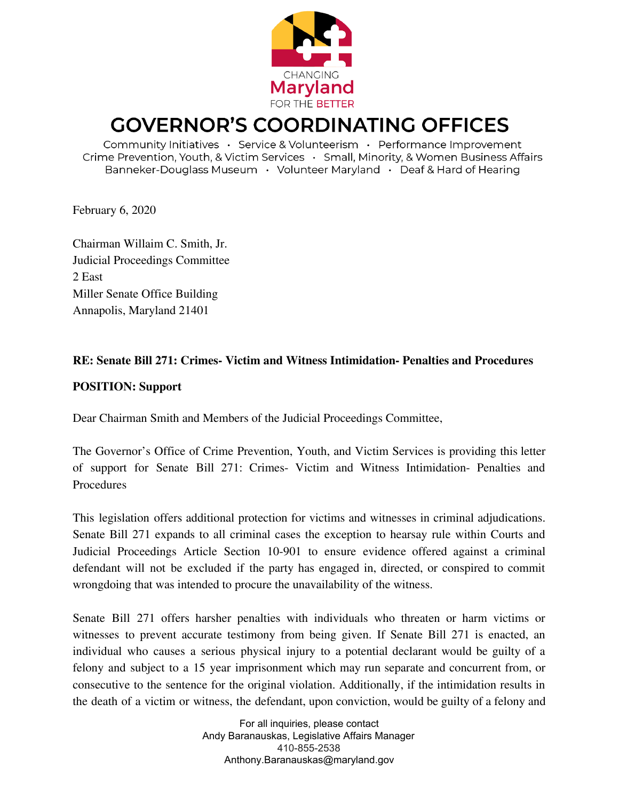

## **GOVERNOR'S COORDINATING OFFICES**

Community Initiatives · Service & Volunteerism · Performance Improvement Crime Prevention, Youth, & Victim Services · Small, Minority, & Women Business Affairs Banneker-Douglass Museum · Volunteer Maryland · Deaf & Hard of Hearing

February 6, 2020

Chairman Willaim C. Smith, Jr. Judicial Proceedings Committee 2 East Miller Senate Office Building Annapolis, Maryland 21401

## **RE: Senate Bill 271: Crimes- Victim and Witness Intimidation- Penalties and Procedures**

## **POSITION: Support**

Dear Chairman Smith and Members of the Judicial Proceedings Committee,

The Governor's Office of Crime Prevention, Youth, and Victim Services is providing this letter of support for Senate Bill 271: Crimes- Victim and Witness Intimidation- Penalties and Procedures

This legislation offers additional protection for victims and witnesses in criminal adjudications. Senate Bill 271 expands to all criminal cases the exception to hearsay rule within Courts and Judicial Proceedings Article Section 10-901 to ensure evidence offered against a criminal defendant will not be excluded if the party has engaged in, directed, or conspired to commit wrongdoing that was intended to procure the unavailability of the witness.

Senate Bill 271 offers harsher penalties with individuals who threaten or harm victims or witnesses to prevent accurate testimony from being given. If Senate Bill 271 is enacted, an individual who causes a serious physical injury to a potential declarant would be guilty of a felony and subject to a 15 year imprisonment which may run separate and concurrent from, or consecutive to the sentence for the original violation. Additionally, if the intimidation results in the death of a victim or witness, the defendant, upon conviction, would be guilty of a felony and